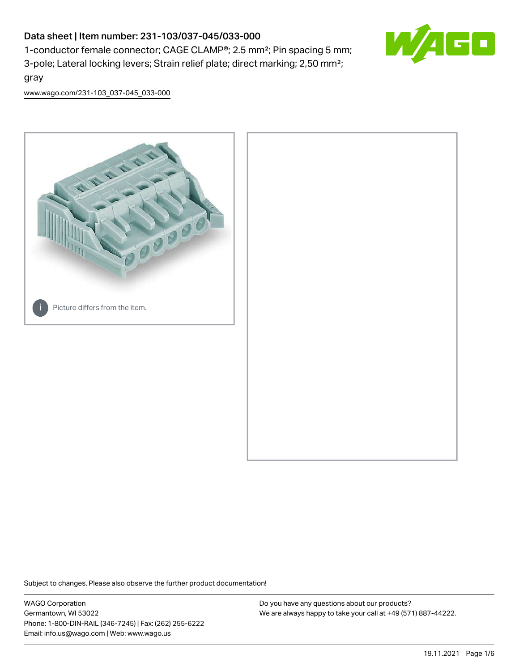# Data sheet | Item number: 231-103/037-045/033-000

1-conductor female connector; CAGE CLAMP®; 2.5 mm²; Pin spacing 5 mm; 3-pole; Lateral locking levers; Strain relief plate; direct marking; 2,50 mm²; gray



[www.wago.com/231-103\\_037-045\\_033-000](http://www.wago.com/231-103_037-045_033-000)



Subject to changes. Please also observe the further product documentation!

WAGO Corporation Germantown, WI 53022 Phone: 1-800-DIN-RAIL (346-7245) | Fax: (262) 255-6222 Email: info.us@wago.com | Web: www.wago.us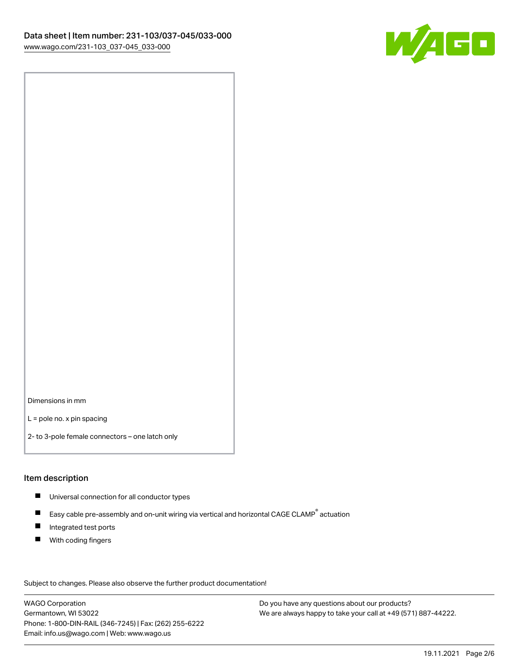

Dimensions in mm

L = pole no. x pin spacing

2- to 3-pole female connectors – one latch only

#### Item description

- **Universal connection for all conductor types**
- Easy cable pre-assembly and on-unit wiring via vertical and horizontal CAGE CLAMP<sup>®</sup> actuation  $\blacksquare$
- $\blacksquare$ Integrated test ports
- $\blacksquare$ With coding fingers

Subject to changes. Please also observe the further product documentation! Data

WAGO Corporation Germantown, WI 53022 Phone: 1-800-DIN-RAIL (346-7245) | Fax: (262) 255-6222 Email: info.us@wago.com | Web: www.wago.us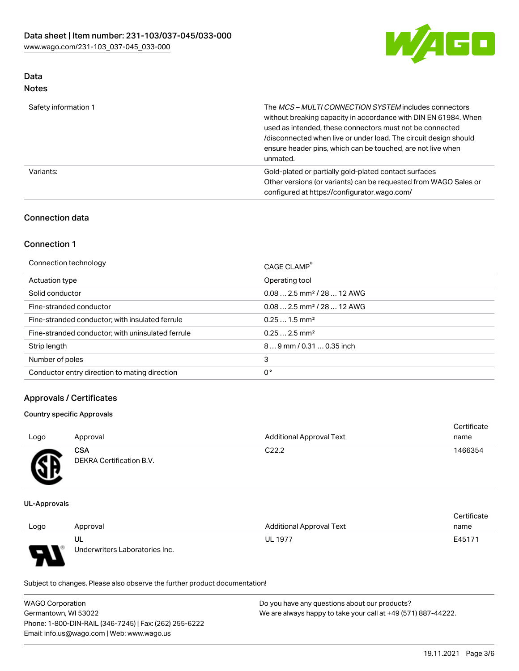

# Data

| Safety information 1 | The MCS-MULTI CONNECTION SYSTEM includes connectors<br>without breaking capacity in accordance with DIN EN 61984. When<br>used as intended, these connectors must not be connected<br>/disconnected when live or under load. The circuit design should<br>ensure header pins, which can be touched, are not live when<br>unmated. |
|----------------------|-----------------------------------------------------------------------------------------------------------------------------------------------------------------------------------------------------------------------------------------------------------------------------------------------------------------------------------|
| Variants:            | Gold-plated or partially gold-plated contact surfaces<br>Other versions (or variants) can be requested from WAGO Sales or<br>configured at https://configurator.wago.com/                                                                                                                                                         |

# Connection data

# Connection 1

| Connection technology                             | CAGE CLAMP <sup>®</sup>                |
|---------------------------------------------------|----------------------------------------|
| Actuation type                                    | Operating tool                         |
| Solid conductor                                   | $0.082.5$ mm <sup>2</sup> / 28  12 AWG |
| Fine-stranded conductor                           | $0.082.5$ mm <sup>2</sup> / 28  12 AWG |
| Fine-stranded conductor; with insulated ferrule   | $0.251.5$ mm <sup>2</sup>              |
| Fine-stranded conductor; with uninsulated ferrule | $0.252.5$ mm <sup>2</sup>              |
| Strip length                                      | $89$ mm / 0.31  0.35 inch              |
| Number of poles                                   | 3                                      |
| Conductor entry direction to mating direction     | 0°                                     |

# Approvals / Certificates

#### Country specific Approvals

| Logo | Approval                               | <b>Additional Approval Text</b> | Certificate<br>name |
|------|----------------------------------------|---------------------------------|---------------------|
| Æ    | <b>CSA</b><br>DEKRA Certification B.V. | C <sub>22.2</sub>               | 1466354             |

UL-Approvals

|      |                                |                                 | Certificate |
|------|--------------------------------|---------------------------------|-------------|
| Logo | Approval                       | <b>Additional Approval Text</b> | name        |
|      | UL                             | <b>UL 1977</b>                  | E45171      |
| p    | Underwriters Laboratories Inc. |                                 |             |

Subject to changes. Please also observe the further product documentation!

| <b>WAGO Corporation</b>                                | Do you have any questions about our products?                 |
|--------------------------------------------------------|---------------------------------------------------------------|
| Germantown, WI 53022                                   | We are always happy to take your call at +49 (571) 887-44222. |
| Phone: 1-800-DIN-RAIL (346-7245)   Fax: (262) 255-6222 |                                                               |
| Email: info.us@wago.com   Web: www.wago.us             |                                                               |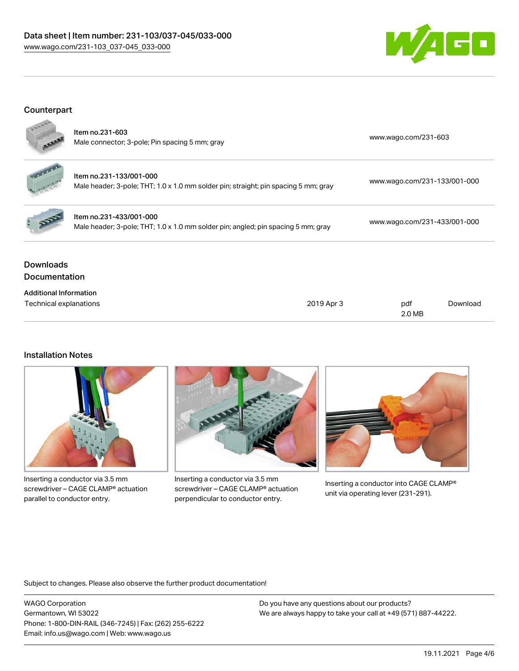# Data sheet | Item number: 231-103/037-045/033-000 [www.wago.com/231-103\\_037-045\\_033-000](http://www.wago.com/231-103_037-045_033-000)



# Counterpart



| <b>Downloads</b><br><b>Documentation</b> |                                                                                                                |                              |
|------------------------------------------|----------------------------------------------------------------------------------------------------------------|------------------------------|
|                                          | Item no.231-433/001-000<br>Male header; 3-pole; THT; 1.0 x 1.0 mm solder pin; angled; pin spacing 5 mm; gray   | www.wago.com/231-433/001-000 |
|                                          | Item no.231-133/001-000<br>Male header; 3-pole; THT; 1.0 x 1.0 mm solder pin; straight; pin spacing 5 mm; gray | www.wago.com/231-133/001-000 |
|                                          | Item no.231-603<br>Male connector; 3-pole; Pin spacing 5 mm; gray                                              | www.wago.com/231-603         |

| <b>Additional Information</b> |            |        |          |
|-------------------------------|------------|--------|----------|
| Technical explanations        | 2019 Apr 3 | pdf    | Download |
|                               |            | 2.0 MB |          |

#### Installation Notes



Inserting a conductor via 3.5 mm screwdriver – CAGE CLAMP® actuation parallel to conductor entry.



Inserting a conductor via 3.5 mm screwdriver – CAGE CLAMP® actuation perpendicular to conductor entry.



Inserting a conductor into CAGE CLAMP® unit via operating lever (231-291).

Subject to changes. Please also observe the further product documentation!

WAGO Corporation Germantown, WI 53022 Phone: 1-800-DIN-RAIL (346-7245) | Fax: (262) 255-6222 Email: info.us@wago.com | Web: www.wago.us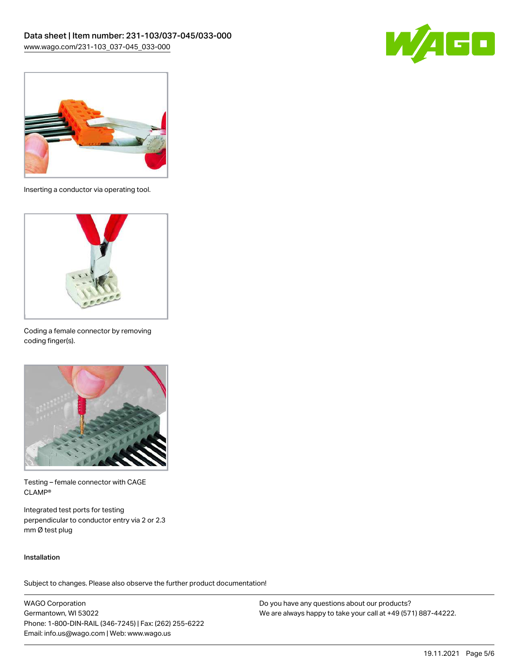



Inserting a conductor via operating tool.



Coding a female connector by removing coding finger(s).



Testing – female connector with CAGE CLAMP®

Integrated test ports for testing perpendicular to conductor entry via 2 or 2.3 mm Ø test plug

#### Installation

Subject to changes. Please also observe the further product documentation!

WAGO Corporation Germantown, WI 53022 Phone: 1-800-DIN-RAIL (346-7245) | Fax: (262) 255-6222 Email: info.us@wago.com | Web: www.wago.us